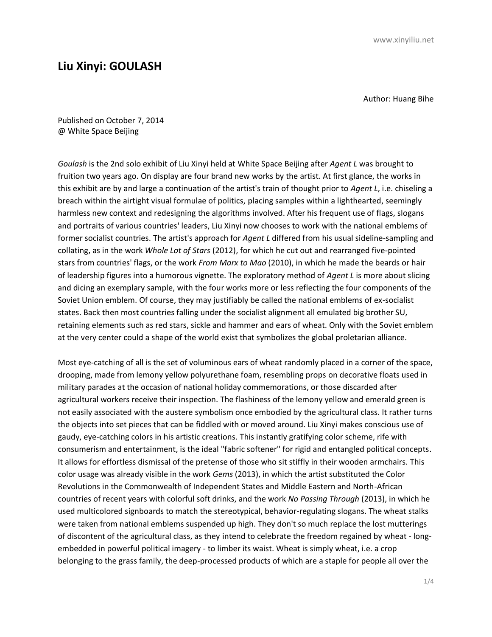## **Liu Xinyi: GOULASH**

Author: Huang Bihe

Published on October 7, 2014 @ White Space Beijing

*Goulash* is the 2nd solo exhibit of Liu Xinyi held at White Space Beijing after *Agent L* was brought to fruition two years ago. On display are four brand new works by the artist. At first glance, the works in this exhibit are by and large a continuation of the artist's train of thought prior to *Agent L*, i.e. chiseling a breach within the airtight visual formulae of politics, placing samples within a lighthearted, seemingly harmless new context and redesigning the algorithms involved. After his frequent use of flags, slogans and portraits of various countries' leaders, Liu Xinyi now chooses to work with the national emblems of former socialist countries. The artist's approach for *Agent L* differed from his usual sideline-sampling and collating, as in the work *Whole Lot of Stars* (2012), for which he cut out and rearranged five-pointed stars from countries' flags, or the work *From Marx to Mao* (2010), in which he made the beards or hair of leadership figures into a humorous vignette. The exploratory method of *Agent L* is more about slicing and dicing an exemplary sample, with the four works more or less reflecting the four components of the Soviet Union emblem. Of course, they may justifiably be called the national emblems of ex-socialist states. Back then most countries falling under the socialist alignment all emulated big brother SU, retaining elements such as red stars, sickle and hammer and ears of wheat. Only with the Soviet emblem at the very center could a shape of the world exist that symbolizes the global proletarian alliance.

Most eye-catching of all is the set of voluminous ears of wheat randomly placed in a corner of the space, drooping, made from lemony yellow polyurethane foam, resembling props on decorative floats used in military parades at the occasion of national holiday commemorations, or those discarded after agricultural workers receive their inspection. The flashiness of the lemony yellow and emerald green is not easily associated with the austere symbolism once embodied by the agricultural class. It rather turns the objects into set pieces that can be fiddled with or moved around. Liu Xinyi makes conscious use of gaudy, eye-catching colors in his artistic creations. This instantly gratifying color scheme, rife with consumerism and entertainment, is the ideal "fabric softener" for rigid and entangled political concepts. It allows for effortless dismissal of the pretense of those who sit stiffly in their wooden armchairs. This color usage was already visible in the work *Gems* (2013), in which the artist substituted the Color Revolutions in the Commonwealth of Independent States and Middle Eastern and North-African countries of recent years with colorful soft drinks, and the work *No Passing Through* (2013), in which he used multicolored signboards to match the stereotypical, behavior-regulating slogans. The wheat stalks were taken from national emblems suspended up high. They don't so much replace the lost mutterings of discontent of the agricultural class, as they intend to celebrate the freedom regained by wheat - longembedded in powerful political imagery - to limber its waist. Wheat is simply wheat, i.e. a crop belonging to the grass family, the deep-processed products of which are a staple for people all over the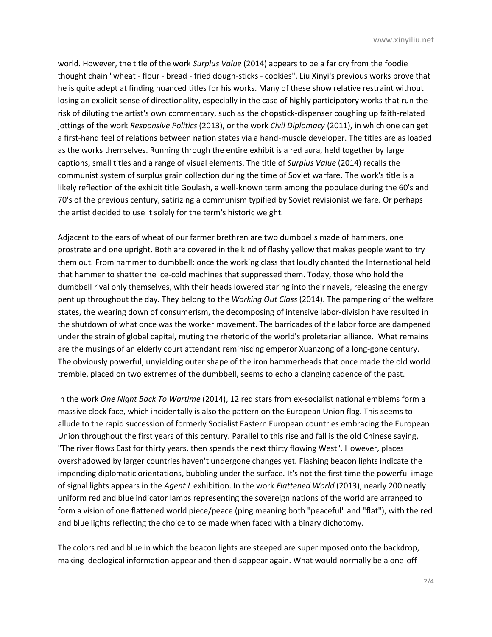world. However, the title of the work *Surplus Value* (2014) appears to be a far cry from the foodie thought chain "wheat - flour - bread - fried dough-sticks - cookies". Liu Xinyi's previous works prove that he is quite adept at finding nuanced titles for his works. Many of these show relative restraint without losing an explicit sense of directionality, especially in the case of highly participatory works that run the risk of diluting the artist's own commentary, such as the chopstick-dispenser coughing up faith-related jottings of the work *Responsive Politics* (2013), or the work *Civil Diplomacy* (2011), in which one can get a first-hand feel of relations between nation states via a hand-muscle developer. The titles are as loaded as the works themselves. Running through the entire exhibit is a red aura, held together by large captions, small titles and a range of visual elements. The title of *Surplus Value* (2014) recalls the communist system of surplus grain collection during the time of Soviet warfare. The work's title is a likely reflection of the exhibit title Goulash, a well-known term among the populace during the 60's and 70's of the previous century, satirizing a communism typified by Soviet revisionist welfare. Or perhaps the artist decided to use it solely for the term's historic weight.

Adjacent to the ears of wheat of our farmer brethren are two dumbbells made of hammers, one prostrate and one upright. Both are covered in the kind of flashy yellow that makes people want to try them out. From hammer to dumbbell: once the working class that loudly chanted the International held that hammer to shatter the ice-cold machines that suppressed them. Today, those who hold the dumbbell rival only themselves, with their heads lowered staring into their navels, releasing the energy pent up throughout the day. They belong to the *Working Out Class* (2014). The pampering of the welfare states, the wearing down of consumerism, the decomposing of intensive labor-division have resulted in the shutdown of what once was the worker movement. The barricades of the labor force are dampened under the strain of global capital, muting the rhetoric of the world's proletarian alliance. What remains are the musings of an elderly court attendant reminiscing emperor Xuanzong of a long-gone century. The obviously powerful, unyielding outer shape of the iron hammerheads that once made the old world tremble, placed on two extremes of the dumbbell, seems to echo a clanging cadence of the past.

In the work *One Night Back To Wartime* (2014), 12 red stars from ex-socialist national emblems form a massive clock face, which incidentally is also the pattern on the European Union flag. This seems to allude to the rapid succession of formerly Socialist Eastern European countries embracing the European Union throughout the first years of this century. Parallel to this rise and fall is the old Chinese saying, "The river flows East for thirty years, then spends the next thirty flowing West". However, places overshadowed by larger countries haven't undergone changes yet. Flashing beacon lights indicate the impending diplomatic orientations, bubbling under the surface. It's not the first time the powerful image of signal lights appears in the *Agent L* exhibition. In the work *Flattened World* (2013), nearly 200 neatly uniform red and blue indicator lamps representing the sovereign nations of the world are arranged to form a vision of one flattened world piece/peace (ping meaning both "peaceful" and "flat"), with the red and blue lights reflecting the choice to be made when faced with a binary dichotomy.

The colors red and blue in which the beacon lights are steeped are superimposed onto the backdrop, making ideological information appear and then disappear again. What would normally be a one-off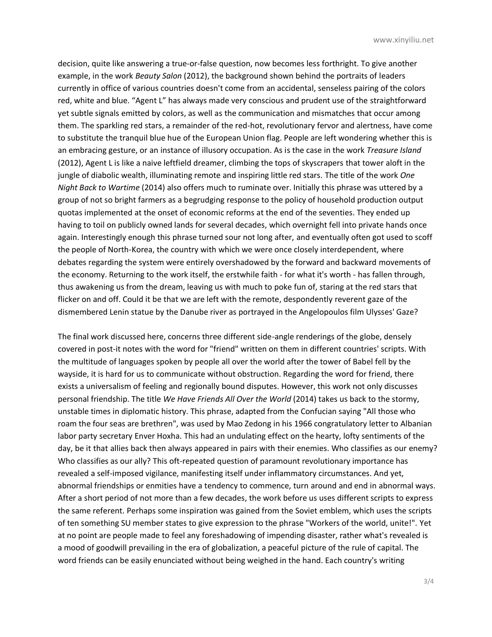decision, quite like answering a true-or-false question, now becomes less forthright. To give another example, in the work *Beauty Salon* (2012), the background shown behind the portraits of leaders currently in office of various countries doesn't come from an accidental, senseless pairing of the colors red, white and blue. "Agent L" has always made very conscious and prudent use of the straightforward yet subtle signals emitted by colors, as well as the communication and mismatches that occur among them. The sparkling red stars, a remainder of the red-hot, revolutionary fervor and alertness, have come to substitute the tranquil blue hue of the European Union flag. People are left wondering whether this is an embracing gesture, or an instance of illusory occupation. As is the case in the work *Treasure Island*  (2012), Agent L is like a naive leftfield dreamer, climbing the tops of skyscrapers that tower aloft in the jungle of diabolic wealth, illuminating remote and inspiring little red stars. The title of the work *One Night Back to Wartime* (2014) also offers much to ruminate over. Initially this phrase was uttered by a group of not so bright farmers as a begrudging response to the policy of household production output quotas implemented at the onset of economic reforms at the end of the seventies. They ended up having to toil on publicly owned lands for several decades, which overnight fell into private hands once again. Interestingly enough this phrase turned sour not long after, and eventually often got used to scoff the people of North-Korea, the country with which we were once closely interdependent, where debates regarding the system were entirely overshadowed by the forward and backward movements of the economy. Returning to the work itself, the erstwhile faith - for what it's worth - has fallen through, thus awakening us from the dream, leaving us with much to poke fun of, staring at the red stars that flicker on and off. Could it be that we are left with the remote, despondently reverent gaze of the dismembered Lenin statue by the Danube river as portrayed in the Angelopoulos film Ulysses' Gaze?

The final work discussed here, concerns three different side-angle renderings of the globe, densely covered in post-it notes with the word for "friend" written on them in different countries' scripts. With the multitude of languages spoken by people all over the world after the tower of Babel fell by the wayside, it is hard for us to communicate without obstruction. Regarding the word for friend, there exists a universalism of feeling and regionally bound disputes. However, this work not only discusses personal friendship. The title *We Have Friends All Over the World* (2014) takes us back to the stormy, unstable times in diplomatic history. This phrase, adapted from the Confucian saying "All those who roam the four seas are brethren", was used by Mao Zedong in his 1966 congratulatory letter to Albanian labor party secretary Enver Hoxha. This had an undulating effect on the hearty, lofty sentiments of the day, be it that allies back then always appeared in pairs with their enemies. Who classifies as our enemy? Who classifies as our ally? This oft-repeated question of paramount revolutionary importance has revealed a self-imposed vigilance, manifesting itself under inflammatory circumstances. And yet, abnormal friendships or enmities have a tendency to commence, turn around and end in abnormal ways. After a short period of not more than a few decades, the work before us uses different scripts to express the same referent. Perhaps some inspiration was gained from the Soviet emblem, which uses the scripts of ten something SU member states to give expression to the phrase "Workers of the world, unite!". Yet at no point are people made to feel any foreshadowing of impending disaster, rather what's revealed is a mood of goodwill prevailing in the era of globalization, a peaceful picture of the rule of capital. The word friends can be easily enunciated without being weighed in the hand. Each country's writing